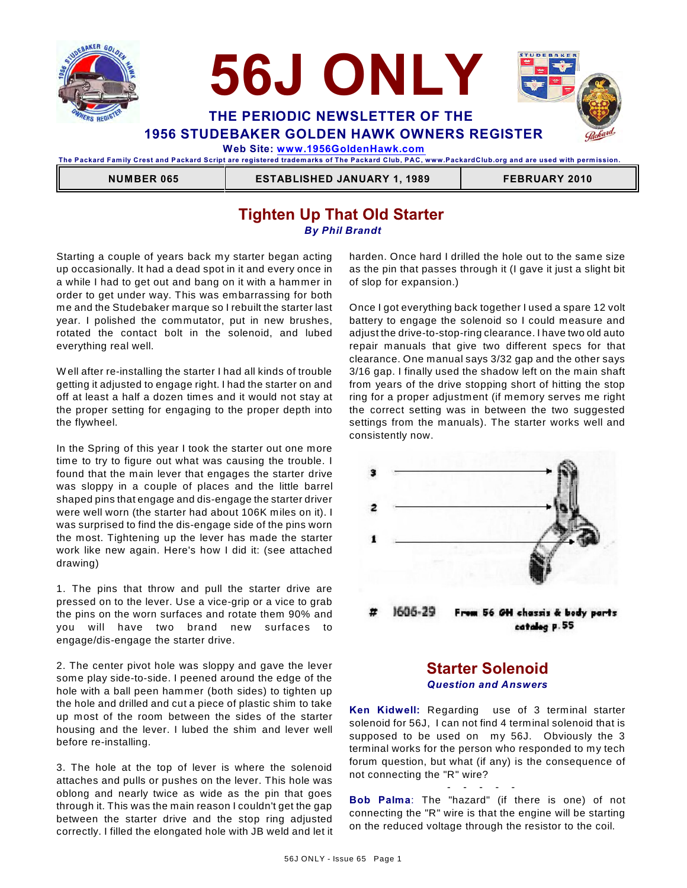



 **Web Site: [www.1956GoldenHawk.com](http://www.1956GoldenHawk.com)**

**The Packard Fam ily Crest and Packard Script are registered tradem arks of The Packard Club, PAC, www.PackardClub.org and are used with perm ission.** 

 **NUMBER 065 ESTABLISHED JANUARY 1, 1989 FEBRUARY 2010**

# **Tighten Up That Old Starter** *By Phil Brandt*

Starting a couple of years back my starter began acting up occasionally. It had a dead spot in it and every once in a while I had to get out and bang on it with a hammer in order to get under way. This was embarrassing for both me and the Studebaker marque so I rebuilt the starter last year. I polished the commutator, put in new brushes, rotated the contact bolt in the solenoid, and lubed everything real well.

W ell after re-installing the starter I had all kinds of trouble getting it adjusted to engage right. I had the starter on and off at least a half a dozen times and it would not stay at the proper setting for engaging to the proper depth into the flywheel.

In the Spring of this year I took the starter out one more time to try to figure out what was causing the trouble. I found that the main lever that engages the starter drive was sloppy in a couple of places and the little barrel shaped pins that engage and dis-engage the starter driver were well worn (the starter had about 106K miles on it). I was surprised to find the dis-engage side of the pins worn the most. Tightening up the lever has made the starter work like new again. Here's how I did it: (see attached drawing)

1. The pins that throw and pull the starter drive are pressed on to the lever. Use a vice-grip or a vice to grab the pins on the worn surfaces and rotate them 90% and you will have two brand new surfaces to engage/dis-engage the starter drive.

2. The center pivot hole was sloppy and gave the lever some play side-to-side. I peened around the edge of the hole with a ball peen hammer (both sides) to tighten up the hole and drilled and cut a piece of plastic shim to take up most of the room between the sides of the starter housing and the lever. I lubed the shim and lever well before re-installing.

3. The hole at the top of lever is where the solenoid attaches and pulls or pushes on the lever. This hole was oblong and nearly twice as wide as the pin that goes through it. This was the main reason I couldn't get the gap between the starter drive and the stop ring adjusted correctly. I filled the elongated hole with JB weld and let it harden. Once hard I drilled the hole out to the same size as the pin that passes through it (I gave it just a slight bit of slop for expansion.)

Once I got everything back together I used a spare 12 volt battery to engage the solenoid so I could measure and adjust the drive-to-stop-ring clearance. I have two old auto repair manuals that give two different specs for that clearance. One manual says 3/32 gap and the other says 3/16 gap. I finally used the shadow left on the main shaft from years of the drive stopping short of hitting the stop ring for a proper adjustment (if memory serves me right the correct setting was in between the two suggested settings from the manuals). The starter works well and consistently now.



#### catalog p.55

# **Starter Solenoid** *Question and Answers*

**Ken Kidwell:** Regarding use of 3 terminal starter solenoid for 56J, I can not find 4 terminal solenoid that is supposed to be used on my 56J. Obviously the 3 terminal works for the person who responded to my tech forum question, but what (if any) is the consequence of not connecting the "R" wire?

**Bob Palma**: The "hazard" (if there is one) of not connecting the "R" wire is that the engine will be starting on the reduced voltage through the resistor to the coil.

- - - - -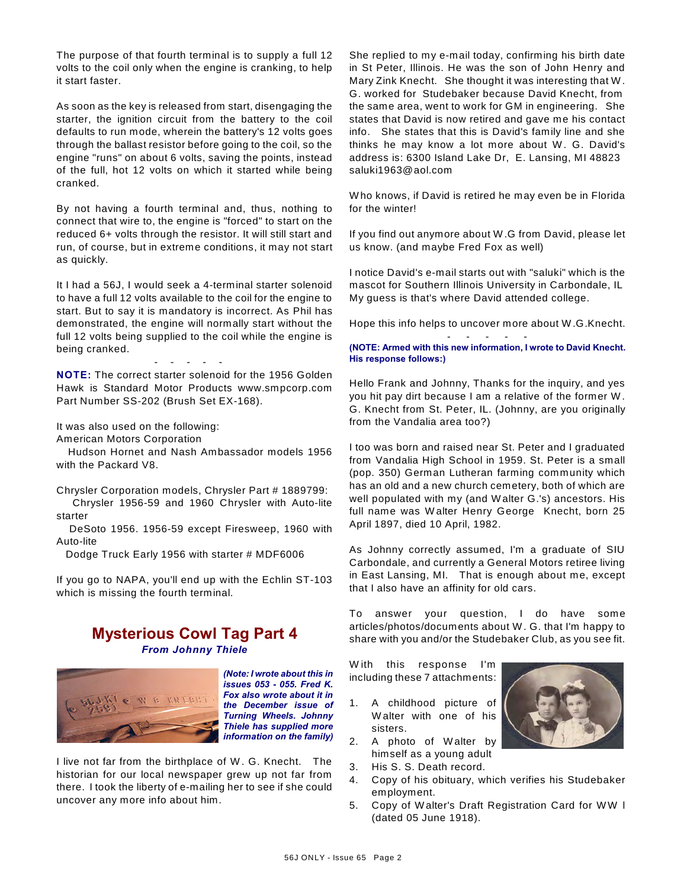The purpose of that fourth terminal is to supply a full 12 volts to the coil only when the engine is cranking, to help it start faster.

As soon as the key is released from start, disengaging the starter, the ignition circuit from the battery to the coil defaults to run mode, wherein the battery's 12 volts goes through the ballast resistor before going to the coil, so the engine "runs" on about 6 volts, saving the points, instead of the full, hot 12 volts on which it started while being cranked.

By not having a fourth terminal and, thus, nothing to connect that wire to, the engine is "forced" to start on the reduced 6+ volts through the resistor. It will still start and run, of course, but in extreme conditions, it may not start as quickly.

It I had a 56J, I would seek a 4-terminal starter solenoid to have a full 12 volts available to the coil for the engine to start. But to say it is mandatory is incorrect. As Phil has demonstrated, the engine will normally start without the full 12 volts being supplied to the coil while the engine is being cranked.

**NOTE:** The correct starter solenoid for the 1956 Golden Hawk is Standard Motor Products www.smpcorp.com Part Number SS-202 (Brush Set EX-168).

- - - - -

It was also used on the following:

American Motors Corporation

 Hudson Hornet and Nash Ambassador models 1956 with the Packard V8.

Chrysler Corporation models, Chrysler Part # 1889799: Chrysler 1956-59 and 1960 Chrysler with Auto-lite starter

 DeSoto 1956. 1956-59 except Firesweep, 1960 with Auto-lite

Dodge Truck Early 1956 with starter # MDF6006

If you go to NAPA, you'll end up with the Echlin ST-103 which is missing the fourth terminal.

# **Mysterious Cowl Tag Part 4** *From Johnny Thiele*



*(Note: I wrote about this in issues 053 - 055. Fred K. Fox also wrote about it in the December issue of Turning Wheels. Johnny Thiele has supplied more information on the family)*

I live not far from the birthplace of W . G. Knecht. The historian for our local newspaper grew up not far from there. I took the liberty of e-mailing her to see if she could uncover any more info about him.

She replied to my e-mail today, confirming his birth date in St Peter, Illinois. He was the son of John Henry and Mary Zink Knecht. She thought it was interesting that W . G. worked for Studebaker because David Knecht, from the same area, went to work for GM in engineering. She states that David is now retired and gave me his contact info. She states that this is David's family line and she thinks he may know a lot more about W. G. David's address is: 6300 Island Lake Dr, E. Lansing, MI 48823 saluki1963@aol.com

W ho knows, if David is retired he may even be in Florida for the winter!

If you find out anymore about W .G from David, please let us know. (and maybe Fred Fox as well)

I notice David's e-mail starts out with "saluki" which is the mascot for Southern Illinois University in Carbondale, IL My guess is that's where David attended college.

Hope this info helps to uncover more about W .G.Knecht. - - - - -

#### **(NOTE: Armed with this new information, I wrote to David Knecht. His response follows:)**

Hello Frank and Johnny, Thanks for the inquiry, and yes you hit pay dirt because I am a relative of the former W . G. Knecht from St. Peter, IL. (Johnny, are you originally from the Vandalia area too?)

I too was born and raised near St. Peter and I graduated from Vandalia High School in 1959. St. Peter is a small (pop. 350) German Lutheran farming community which has an old and a new church cemetery, both of which are well populated with my (and W alter G.'s) ancestors. His full name was W alter Henry George Knecht, born 25 April 1897, died 10 April, 1982.

As Johnny correctly assumed, I'm a graduate of SIU Carbondale, and currently a General Motors retiree living in East Lansing, MI. That is enough about me, except that I also have an affinity for old cars.

To answer your question, I do have some articles/photos/documents about W . G. that I'm happy to share with you and/or the Studebaker Club, as you see fit.

W ith this response I'm including these 7 attachments:

- 1. A childhood picture of W alter with one of his sisters.
- 2. A photo of W alter by himself as a young adult
- 3. His S. S. Death record.
- 4. Copy of his obituary, which verifies his Studebaker employment.
- 5. Copy of W alter's Draft Registration Card for W W l (dated 05 June 1918).

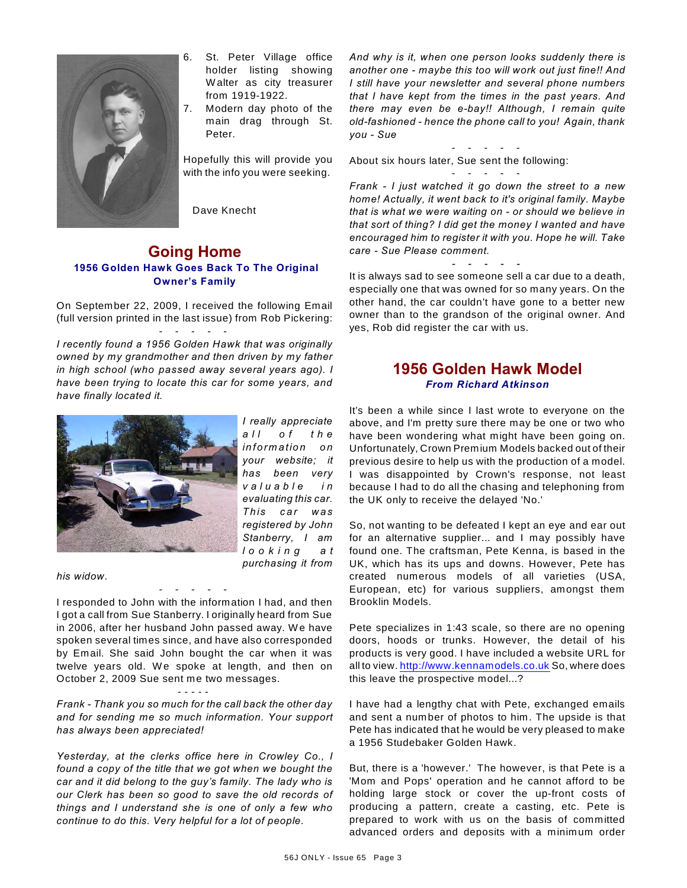

- 6. St. Peter Village office holder listing showing W alter as city treasurer from 1919-1922.
- 7. Modern day photo of the main drag through St. Peter.

Hopefully this will provide you with the info you were seeking.

Dave Knecht

### **Going Home 1956 Golden Hawk Goes Back To The Original Owner's Family**

On September 22, 2009, I received the following Email (full version printed in the last issue) from Rob Pickering: - - - - -

*I recently found a 1956 Golden Hawk that was originally owned by my grandmother and then driven by my father in high school (who passed away several years ago). I have been trying to locate this car for some years, and have finally located it.* 



*I really appreciate a l l o f t h e in form ation on your website; it has been very v a l u a b l e i n evaluating this car. T his c a r w as registered by John Stanberry, I am l o o k i n g a t purchasing it from*

*his widow.* 

I responded to John with the information I had, and then I got a call from Sue Stanberry. I originally heard from Sue in 2006, after her husband John passed away. We have spoken several times since, and have also corresponded by Email. She said John bought the car when it was twelve years old. We spoke at length, and then on October 2, 2009 Sue sent me two messages.

- - - - -

#### - - - - -

*Frank - Thank you so much for the call back the other day and for sending me so much information. Your support has always been appreciated!*

*Yesterday, at the clerks office here in Crowley Co., I found a copy of the title that we got when we bought the car and it did belong to the guy's family. The lady who is our Clerk has been so good to save the old records of things and I understand she is one of only a few who continue to do this. Very helpful for a lot of people.* 

*And why is it, when one person looks suddenly there is another one - maybe this too will work out just fine!! And I still have your newsletter and several phone numbers that I have kept from the times in the past years. And there may even be e-bay!! Although, I remain quite old-fashioned - hence the phone call to you! Again, thank you - Sue*

- - - - - About six hours later, Sue sent the following:

- - - - - *Frank - I just watched it go down the street to a new home! Actually, it went back to it's original family. Maybe that is what we were waiting on - or should we believe in that sort of thing? I did get the money I wanted and have encouraged him to register it with you. Hope he will. Take care - Sue Please comment.* 

It is always sad to see someone sell a car due to a death, especially one that was owned for so many years. On the other hand, the car couldn't have gone to a better new owner than to the grandson of the original owner. And yes, Rob did register the car with us.

*- - - - -* 

# **1956 Golden Hawk Model** *From Richard Atkinson*

It's been a while since I last wrote to everyone on the above, and I'm pretty sure there may be one or two who have been wondering what might have been going on. Unfortunately, Crown Premium Models backed out of their previous desire to help us with the production of a model. I was disappointed by Crown's response, not least because I had to do all the chasing and telephoning from the UK only to receive the delayed 'No.'

So, not wanting to be defeated I kept an eye and ear out for an alternative supplier... and I may possibly have found one. The craftsman, Pete Kenna, is based in the UK, which has its ups and downs. However, Pete has created numerous models of all varieties (USA, European, etc) for various suppliers, amongst them Brooklin Models.

Pete specializes in 1:43 scale, so there are no opening doors, hoods or trunks. However, the detail of his products is very good. I have included a website URL for all to view.<http://www.kennamodels.co.uk> So, where does this leave the prospective model...?

I have had a lengthy chat with Pete, exchanged emails and sent a number of photos to him. The upside is that Pete has indicated that he would be very pleased to make a 1956 Studebaker Golden Hawk.

But, there is a 'however.' The however, is that Pete is a 'Mom and Pops' operation and he cannot afford to be holding large stock or cover the up-front costs of producing a pattern, create a casting, etc. Pete is prepared to work with us on the basis of committed advanced orders and deposits with a minimum order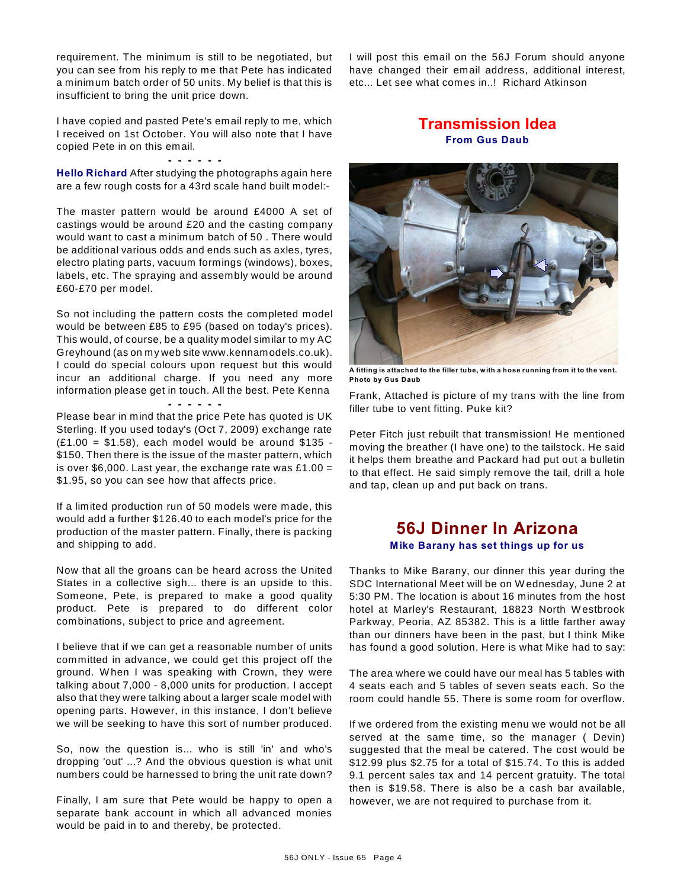requirement. The minimum is still to be negotiated, but you can see from his reply to me that Pete has indicated a minimum batch order of 50 units. My belief is that this is insufficient to bring the unit price down.

I have copied and pasted Pete's email reply to me, which I received on 1st October. You will also note that I have copied Pete in on this email.

#### **- - - - - -**

**Hello Richard** After studying the photographs again here are a few rough costs for a 43rd scale hand built model:-

The master pattern would be around £4000 A set of castings would be around £20 and the casting company would want to cast a minimum batch of 50 . There would be additional various odds and ends such as axles, tyres, electro plating parts, vacuum formings (windows), boxes, labels, etc. The spraying and assembly would be around £60-£70 per model.

So not including the pattern costs the completed model would be between £85 to £95 (based on today's prices). This would, of course, be a quality model similar to my AC Greyhound (as on my web site www.kennamodels.co.uk). I could do special colours upon request but this would incur an additional charge. If you need any more information please get in touch. All the best. Pete Kenna

#### **- - - - - -** Please bear in mind that the price Pete has quoted is UK Sterling. If you used today's (Oct 7, 2009) exchange rate  $(E1.00 = $1.58)$ , each model would be around \$135 -\$150. Then there is the issue of the master pattern, which is over \$6,000. Last year, the exchange rate was £1.00 = \$1.95, so you can see how that affects price.

If a limited production run of 50 models were made, this would add a further \$126.40 to each model's price for the production of the master pattern. Finally, there is packing and shipping to add.

Now that all the groans can be heard across the United States in a collective sigh... there is an upside to this. Someone, Pete, is prepared to make a good quality product. Pete is prepared to do different color combinations, subject to price and agreement.

I believe that if we can get a reasonable number of units committed in advance, we could get this project off the ground. W hen I was speaking with Crown, they were talking about 7,000 - 8,000 units for production. I accept also that they were talking about a larger scale model with opening parts. However, in this instance, I don't believe we will be seeking to have this sort of number produced.

So, now the question is... who is still 'in' and who's dropping 'out' ...? And the obvious question is what unit numbers could be harnessed to bring the unit rate down?

Finally, I am sure that Pete would be happy to open a separate bank account in which all advanced monies would be paid in to and thereby, be protected.

I will post this email on the 56J Forum should anyone have changed their email address, additional interest, etc... Let see what comes in..! Richard Atkinson

# **Transmission Idea From Gus Daub**



**A fitting is attached to the filler tube, with a hose running from it to the vent. Photo by Gus Daub**

Frank, Attached is picture of my trans with the line from filler tube to vent fitting. Puke kit?

Peter Fitch just rebuilt that transmission! He mentioned moving the breather (I have one) to the tailstock. He said it helps them breathe and Packard had put out a bulletin to that effect. He said simply remove the tail, drill a hole and tap, clean up and put back on trans.

# **56J Dinner In Arizona**

# **Mike Barany has set things up for us**

Thanks to Mike Barany, our dinner this year during the SDC International Meet will be on W ednesday, June 2 at 5:30 PM. The location is about 16 minutes from the host hotel at Marley's Restaurant, 18823 North W estbrook Parkway, Peoria, AZ 85382. This is a little farther away than our dinners have been in the past, but I think Mike has found a good solution. Here is what Mike had to say:

The area where we could have our meal has 5 tables with 4 seats each and 5 tables of seven seats each. So the room could handle 55. There is some room for overflow.

If we ordered from the existing menu we would not be all served at the same time, so the manager ( Devin) suggested that the meal be catered. The cost would be \$12.99 plus \$2.75 for a total of \$15.74. To this is added 9.1 percent sales tax and 14 percent gratuity. The total then is \$19.58. There is also be a cash bar available, however, we are not required to purchase from it.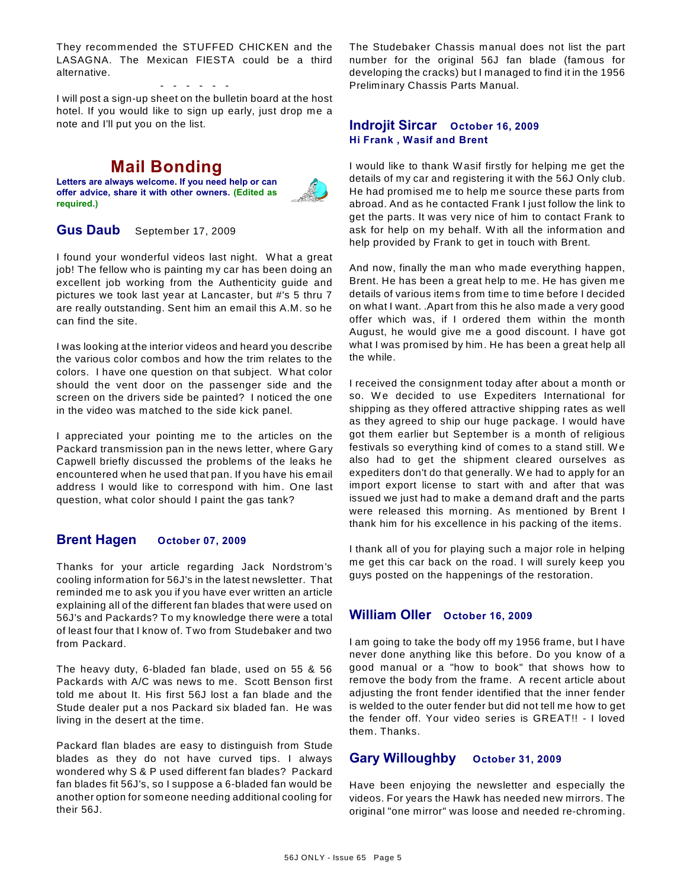They recommended the STUFFED CHICKEN and the LASAGNA. The Mexican FIESTA could be a third alternative.

- - - - - - I will post a sign-up sheet on the bulletin board at the host hotel. If you would like to sign up early, just drop me a note and I'll put you on the list.

# **Mail Bonding**

**Letters are always welcome. If you need help or can offer advice, share it with other owners. (Edited as required.)**



**Gus Daub** September 17, 2009

I found your wonderful videos last night. W hat a great job! The fellow who is painting my car has been doing an excellent job working from the Authenticity guide and pictures we took last year at Lancaster, but #'s 5 thru 7 are really outstanding. Sent him an email this A.M. so he can find the site.

I was looking at the interior videos and heard you describe the various color combos and how the trim relates to the colors. I have one question on that subject. W hat color should the vent door on the passenger side and the screen on the drivers side be painted? I noticed the one in the video was matched to the side kick panel.

I appreciated your pointing me to the articles on the Packard transmission pan in the news letter, where Gary Capwell briefly discussed the problems of the leaks he encountered when he used that pan. If you have his email address I would like to correspond with him. One last question, what color should I paint the gas tank?

# **Brent Hagen October 07, 2009**

Thanks for your article regarding Jack Nordstrom's cooling information for 56J's in the latest newsletter. That reminded me to ask you if you have ever written an article explaining all of the different fan blades that were used on 56J's and Packards? To my knowledge there were a total of least four that I know of. Two from Studebaker and two from Packard.

The heavy duty, 6-bladed fan blade, used on 55 & 56 Packards with A/C was news to me. Scott Benson first told me about It. His first 56J lost a fan blade and the Stude dealer put a nos Packard six bladed fan. He was living in the desert at the time.

Packard flan blades are easy to distinguish from Stude blades as they do not have curved tips. I always wondered why S & P used different fan blades? Packard fan blades fit 56J's, so I suppose a 6-bladed fan would be another option for someone needing additional cooling for their 56J.

The Studebaker Chassis manual does not list the part number for the original 56J fan blade (famous for developing the cracks) but I managed to find it in the 1956 Preliminary Chassis Parts Manual.

#### **Indrojit Sircar October 16, 2009 Hi Frank , Wasif and Brent**

I would like to thank W asif firstly for helping me get the details of my car and registering it with the 56J Only club. He had promised me to help me source these parts from abroad. And as he contacted Frank I just follow the link to get the parts. It was very nice of him to contact Frank to ask for help on my behalf. W ith all the information and help provided by Frank to get in touch with Brent.

And now, finally the man who made everything happen, Brent. He has been a great help to me. He has given me details of various items from time to time before I decided on what I want. .Apart from this he also made a very good offer which was, if I ordered them within the month August, he would give me a good discount. I have got what I was promised by him. He has been a great help all the while.

I received the consignment today after about a month or so. We decided to use Expediters International for shipping as they offered attractive shipping rates as well as they agreed to ship our huge package. I would have got them earlier but September is a month of religious festivals so everything kind of comes to a stand still. W e also had to get the shipment cleared ourselves as expediters don't do that generally. W e had to apply for an import export license to start with and after that was issued we just had to make a demand draft and the parts were released this morning. As mentioned by Brent I thank him for his excellence in his packing of the items.

I thank all of you for playing such a major role in helping me get this car back on the road. I will surely keep you guys posted on the happenings of the restoration.

### **William Oller October 16, 2009**

I am going to take the body off my 1956 frame, but I have never done anything like this before. Do you know of a good manual or a "how to book" that shows how to remove the body from the frame. A recent article about adjusting the front fender identified that the inner fender is welded to the outer fender but did not tell me how to get the fender off. Your video series is GREAT!! - I loved them. Thanks.

### **Gary Willoughby October 31, 2009**

Have been enjoying the newsletter and especially the videos. For years the Hawk has needed new mirrors. The original "one mirror" was loose and needed re-chroming.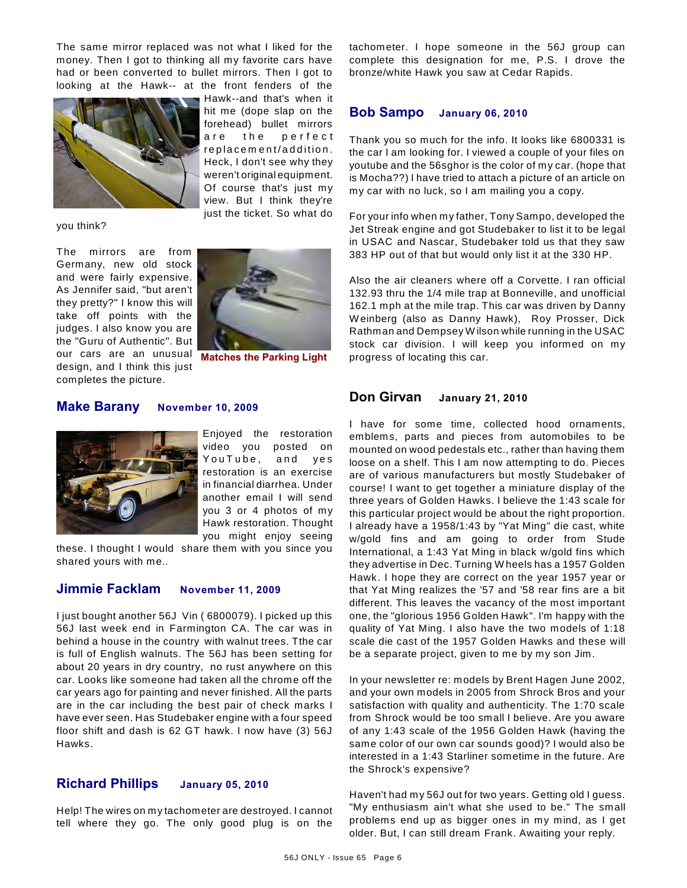The same mirror replaced was not what I liked for the money. Then I got to thinking all my favorite cars have had or been converted to bullet mirrors. Then I got to looking at the Hawk-- at the front fenders of the



you think?

The m irrors are from Germany, new old stock and were fairly expensive. As Jennifer said, "but aren't they pretty?" I know this will take off points with the judges. I also know you are the "Guru of Authentic". But our cars are an unusual design, and I think this just completes the picture.



**Matches the Parking Light**

#### **Make Barany November 10, 2009**



Enjoyed the restoration video you posted on You Tube, and yes restoration is an exercise in financial diarrhea. Under another email I will send you 3 or 4 photos of my Hawk restoration. Thought you might enjoy seeing

these. I thought I would share them with you since you shared yours with me..

#### **Jimmie Facklam November 11, 2009**

I just bought another 56J Vin ( 6800079). I picked up this 56J last week end in Farmington CA. The car was in behind a house in the country with walnut trees. Tthe car is full of English walnuts. The 56J has been setting for about 20 years in dry country, no rust anywhere on this car. Looks like someone had taken all the chrome off the car years ago for painting and never finished. All the parts are in the car including the best pair of check marks I have ever seen. Has Studebaker engine with a four speed floor shift and dash is 62 GT hawk. I now have (3) 56J Hawks.

# **Richard Phillips January 05, 2010**

Help! The wires on my tachometer are destroyed. I cannot tell where they go. The only good plug is on the tachometer. I hope someone in the 56J group can complete this designation for me, P.S. I drove the bronze/white Hawk you saw at Cedar Rapids.

#### **Bob Sampo January 06, 2010**

Thank you so much for the info. It looks like 6800331 is the car I am looking for. I viewed a couple of your files on youtube and the 56sghor is the color of my car. (hope that is Mocha??) I have tried to attach a picture of an article on my car with no luck, so I am mailing you a copy.

For your info when my father, Tony Sampo, developed the Jet Streak engine and got Studebaker to list it to be legal in USAC and Nascar, Studebaker told us that they saw 383 HP out of that but would only list it at the 330 HP.

Also the air cleaners where off a Corvette. I ran official 132.93 thru the 1/4 mile trap at Bonneville, and unofficial 162.1 mph at the mile trap. This car was driven by Danny W einberg (also as Danny Hawk), Roy Prosser, Dick Rathman and Dempsey W ilson while running in the USAC stock car division. I will keep you informed on my progress of locating this car.

#### **Don Girvan January 21, 2010**

I have for some time, collected hood ornaments, emblems, parts and pieces from automobiles to be mounted on wood pedestals etc., rather than having them loose on a shelf. This I am now attempting to do. Pieces are of various manufacturers but mostly Studebaker of course! I want to get together a miniature display of the three years of Golden Hawks. I believe the 1:43 scale for this particular project would be about the right proportion. I already have a 1958/1:43 by "Yat Ming" die cast, white w/gold fins and am going to order from Stude International, a 1:43 Yat Ming in black w/gold fins which they advertise in Dec. Turning W heels has a 1957 Golden Hawk. I hope they are correct on the year 1957 year or that Yat Ming realizes the '57 and '58 rear fins are a bit different. This leaves the vacancy of the most important one, the "glorious 1956 Golden Hawk". I'm happy with the quality of Yat Ming. I also have the two models of 1:18 scale die cast of the 1957 Golden Hawks and these will be a separate project, given to me by my son Jim.

In your newsletter re: models by Brent Hagen June 2002, and your own models in 2005 from Shrock Bros and your satisfaction with quality and authenticity. The 1:70 scale from Shrock would be too small I believe. Are you aware of any 1:43 scale of the 1956 Golden Hawk (having the same color of our own car sounds good)? I would also be interested in a 1:43 Starliner sometime in the future. Are the Shrock's expensive?

Haven't had my 56J out for two years. Getting old I guess. "My enthusiasm ain't what she used to be." The small problems end up as bigger ones in my mind, as I get older. But, I can still dream Frank. Awaiting your reply.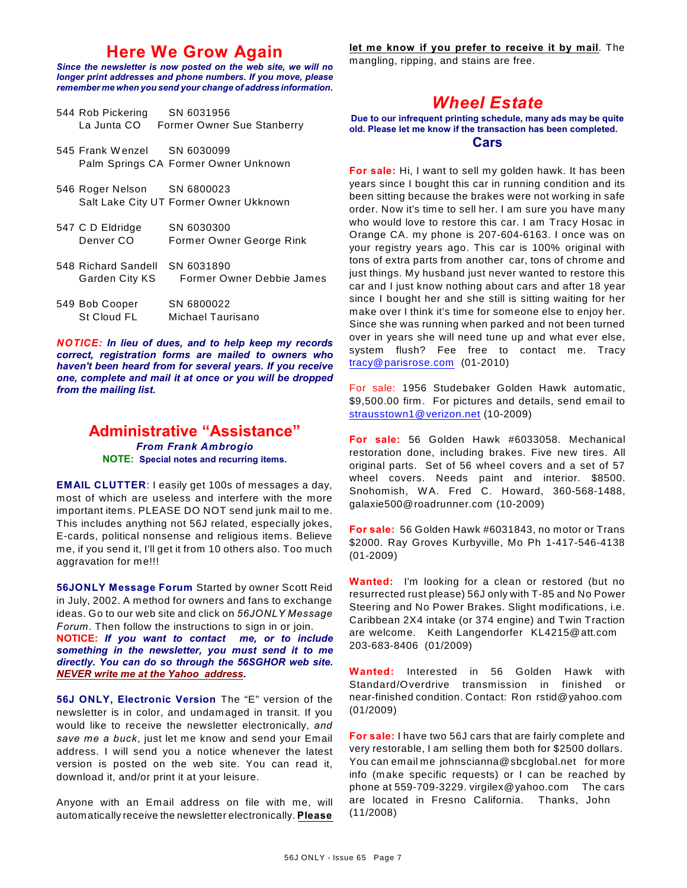# **Here We Grow Again**

*Since the newsletter is now posted on the web site, we will no longer print addresses and phone numbers. If you move, please remember me when you send your change of address information.*

| 544 Rob Pickering           | SN 6031956                           |
|-----------------------------|--------------------------------------|
| La Junta CO                 | <b>Former Owner Sue Stanberry</b>    |
|                             |                                      |
| 545 Frank Wenzel SN 6030099 |                                      |
|                             | Palm Springs CA Former Owner Unknown |

- 546 Roger Nelson SN 6800023 Salt Lake City UT Former Owner Ukknown
- 547 C D Eldridge SN 6030300 Denver CO Former Owner George Rink
- 548 Richard Sandell SN 6031890 Garden City KS Former Owner Debbie James  $540 \text{ B-k}$  Cooper CNICROOO22

| <b>242 DOD COODEL</b> | <b>SIN DOUUUZZ</b> |
|-----------------------|--------------------|
| St Cloud FL           | Michael Taurisano  |

*NOTICE: In lieu of dues, and to help keep my records correct, registration forms are mailed to owners who haven't been heard from for several years. If you receive one, complete and mail it at once or you will be dropped from the mailing list.*

### **Administrative "Assistance"** *From Frank Ambrogio* **NOTE: Special notes and recurring items.**

**EMAIL CLUTTER**: I easily get 100s of messages a day, most of which are useless and interfere with the more important items. PLEASE DO NOT send junk mail to me. This includes anything not 56J related, especially jokes, E-cards, political nonsense and religious items. Believe me, if you send it, I'll get it from 10 others also. Too much aggravation for me!!!

**56JONLY Message Forum** Started by owner Scott Reid in July, 2002. A method for owners and fans to exchange ideas. Go to our web site and click on *56JONLY Message Forum*. Then follow the instructions to sign in or join.

**NOTICE:** *If you want to contact me, or to include something in the newsletter, you must send it to me directly. You can do so through the 56SGHOR web site. NEVER write me at the Yahoo address.*

**56J ONLY, Electronic Version** The "E" version of the newsletter is in color, and undamaged in transit. If you would like to receive the newsletter electronically, *and save me a buck*, just let me know and send your Email address. I will send you a notice whenever the latest version is posted on the web site. You can read it, download it, and/or print it at your leisure.

Anyone with an Email address on file with me, will automatically receive the newsletter electronically. **Please** **let me know if you prefer to receive it by mail**. The mangling, ripping, and stains are free.

# *Wheel Estate*

**Due to our infrequent printing schedule, many ads may be quite old. Please let me know if the transaction has been completed.**

#### **Cars**

**For sale:** Hi, I want to sell my golden hawk. It has been years since I bought this car in running condition and its been sitting because the brakes were not working in safe order. Now it's time to sell her. I am sure you have many who would love to restore this car. I am Tracy Hosac in Orange CA. my phone is 207-604-6163. I once was on your registry years ago. This car is 100% original with tons of extra parts from another car, tons of chrome and just things. My husband just never wanted to restore this car and I just know nothing about cars and after 18 year since I bought her and she still is sitting waiting for her make over I think it's time for someone else to enjoy her. Since she was running when parked and not been turned over in years she will need tune up and what ever else, system flush? Fee free to contact me. Tracy [tracy@parisrose.com](mailto:tracy@parisrose.com) (01-2010)

For sale: 1956 Studebaker Golden Hawk automatic, \$9,500.00 firm. For pictures and details, send email to [strausstown1@verizon.net](mailto:strausstown1@verizon.net) (10-2009)

**For sale:** 56 Golden Hawk #6033058. Mechanical restoration done, including brakes. Five new tires. All original parts. Set of 56 wheel covers and a set of 57 wheel covers. Needs paint and interior. \$8500. Snohomish, W A. Fred C. Howard, 360-568-1488, galaxie500@roadrunner.com (10-2009)

**For sale:** 56 Golden Hawk #6031843, no motor or Trans \$2000. Ray Groves Kurbyville, Mo Ph 1-417-546-4138 (01-2009)

**Wanted:** I'm looking for a clean or restored (but no resurrected rust please) 56J only with T-85 and No Power Steering and No Power Brakes. Slight modifications, i.e. Caribbean 2X4 intake (or 374 engine) and Twin Traction are welcome. Keith Langendorfer KL4215@att.com 203-683-8406 (01/2009)

**Wanted:** Interested in 56 Golden Hawk with Standard/Overdrive transmission in finished or near-finished condition. Contact: Ron rstid@yahoo.com (01/2009)

**For sale:** I have two 56J cars that are fairly complete and very restorable, I am selling them both for \$2500 dollars. You can email me johnscianna@sbcglobal.net for more info (make specific requests) or I can be reached by phone at 559-709-3229. virgilex@yahoo.com The cars are located in Fresno California. Thanks, John (11/2008)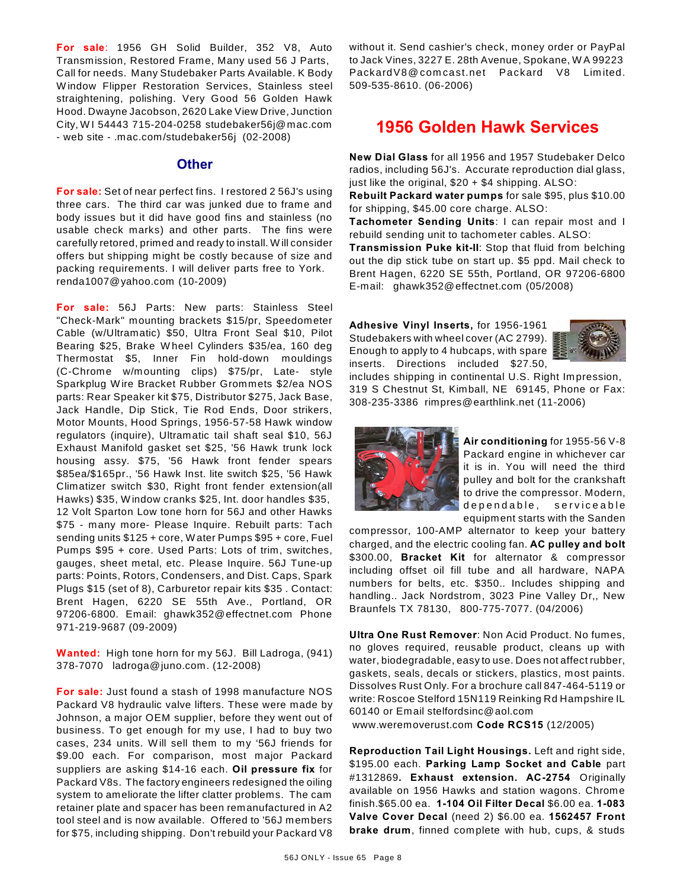**For sale**: 1956 GH Solid Builder, 352 V8, Auto Transmission, Restored Frame, Many used 56 J Parts, Call for needs. Many Studebaker Parts Available. K Body W indow Flipper Restoration Services, Stainless steel straightening, polishing. Very Good 56 Golden Hawk Hood. Dwayne Jacobson, 2620 Lake View Drive, Junction City, W I 54443 715-204-0258 studebaker56j@mac.com - web site - .mac.com/studebaker56j (02-2008)

#### **Other**

**For sale:** Set of near perfect fins. I restored 2 56J's using three cars. The third car was junked due to frame and body issues but it did have good fins and stainless (no usable check marks) and other parts. The fins were carefully retored, primed and ready to install. W ill consider offers but shipping might be costly because of size and packing requirements. I will deliver parts free to York. renda1007@yahoo.com (10-2009)

**For sale:** 56J Parts: New parts: Stainless Steel "Check-Mark" mounting brackets \$15/pr, Speedometer Cable (w/Ultramatic) \$50, Ultra Front Seal \$10, Pilot Bearing \$25, Brake W heel Cylinders \$35/ea, 160 deg Thermostat \$5, Inner Fin hold-down mouldings (C-Chrome w/mounting clips) \$75/pr, Late- style Sparkplug W ire Bracket Rubber Grommets \$2/ea NOS parts: Rear Speaker kit \$75, Distributor \$275, Jack Base, Jack Handle, Dip Stick, Tie Rod Ends, Door strikers, Motor Mounts, Hood Springs, 1956-57-58 Hawk window regulators (inquire), Ultramatic tail shaft seal \$10, 56J Exhaust Manifold gasket set \$25, '56 Hawk trunk lock housing assy. \$75, '56 Hawk front fender spears \$85ea/\$165pr., '56 Hawk Inst. lite switch \$25, '56 Hawk Climatizer switch \$30, Right front fender extension(all Hawks) \$35, W indow cranks \$25, Int. door handles \$35, 12 Volt Sparton Low tone horn for 56J and other Hawks \$75 - many more- Please Inquire. Rebuilt parts: Tach sending units \$125 + core, W ater Pumps \$95 + core, Fuel Pumps \$95 + core. Used Parts: Lots of trim, switches, gauges, sheet metal, etc. Please Inquire. 56J Tune-up parts: Points, Rotors, Condensers, and Dist. Caps, Spark Plugs \$15 (set of 8), Carburetor repair kits \$35 . Contact: Brent Hagen, 6220 SE 55th Ave., Portland, OR 97206-6800. Email: ghawk352@effectnet.com Phone 971-219-9687 (09-2009)

**Wanted:** High tone horn for my 56J. Bill Ladroga, (941) 378-7070 ladroga@juno.com. (12-2008)

**For sale:** Just found a stash of 1998 manufacture NOS Packard V8 hydraulic valve lifters. These were made by Johnson, a major OEM supplier, before they went out of business. To get enough for my use, I had to buy two cases, 234 units. W ill sell them to my '56J friends for \$9.00 each. For comparison, most major Packard suppliers are asking \$14-16 each. **Oil pressure fix** for Packard V8s. The factory engineers redesigned the oiling system to ameliorate the lifter clatter problems. The cam retainer plate and spacer has been remanufactured in A2 tool steel and is now available. Offered to '56J members for \$75, including shipping. Don't rebuild your Packard V8 without it. Send cashier's check, money order or PayPal to Jack Vines, 3227 E. 28th Avenue, Spokane, W A 99223 PackardV8@comcast.net Packard V8 Limited. 509-535-8610. (06-2006)

# **1956 Golden Hawk Services**

**New Dial Glass** for all 1956 and 1957 Studebaker Delco radios, including 56J's. Accurate reproduction dial glass, just like the original,  $$20 + $4$  shipping. ALSO:

**Rebuilt Packard water pumps** for sale \$95, plus \$10.00 for shipping, \$45.00 core charge. ALSO:

**Tachometer Sending Units**: I can repair most and I rebuild sending unit to tachometer cables. ALSO:

**Transmission Puke kit-II**: Stop that fluid from belching out the dip stick tube on start up. \$5 ppd. Mail check to Brent Hagen, 6220 SE 55th, Portland, OR 97206-6800 E-mail: ghawk352@effectnet.com (05/2008)

**Adhesive Vinyl Inserts,** for 1956-1961 Studebakers with wheel cover (AC 2799). Enough to apply to 4 hubcaps, with spare inserts. Directions included \$27.50,



includes shipping in continental U.S. Right Impression, 319 S Chestnut St, Kimball, NE 69145, Phone or Fax: 308-235-3386 rimpres@earthlink.net (11-2006)



**Air conditioning** for 1955-56 V-8 Packard engine in whichever car it is in. You will need the third pulley and bolt for the crankshaft to drive the compressor. Modern, dependable, serviceable equipment starts with the Sanden

compressor, 100-AMP alternator to keep your battery charged, and the electric cooling fan. **AC pulley and bolt** \$300.00, **Bracket Kit** for alternator & compressor including offset oil fill tube and all hardware, NAPA numbers for belts, etc. \$350.. Includes shipping and handling.. Jack Nordstrom, 3023 Pine Valley Dr,, New Braunfels TX 78130, 800-775-7077. (04/2006)

**Ultra One Rust Remover**: Non Acid Product. No fumes, no gloves required, reusable product, cleans up with water, biodegradable, easy to use. Does not affect rubber, gaskets, seals, decals or stickers, plastics, most paints. Dissolves Rust Only. For a brochure call 847-464-5119 or write: Roscoe Stelford 15N119 Reinking Rd Hampshire IL 60140 or Email stelfordsinc@aol.com

www.weremoverust.com **Code RCS15** (12/2005)

**Reproduction Tail Light Housings.** Left and right side, \$195.00 each. **Parking Lamp Socket and Cable** part #1312869**. Exhaust extension. AC-2754** Originally available on 1956 Hawks and station wagons. Chrome finish.\$65.00 ea. **1-104 Oil Filter Decal** \$6.00 ea. **1-083 Valve Cover Decal** (need 2) \$6.00 ea. **1562457 Front brake drum**, finned complete with hub, cups, & studs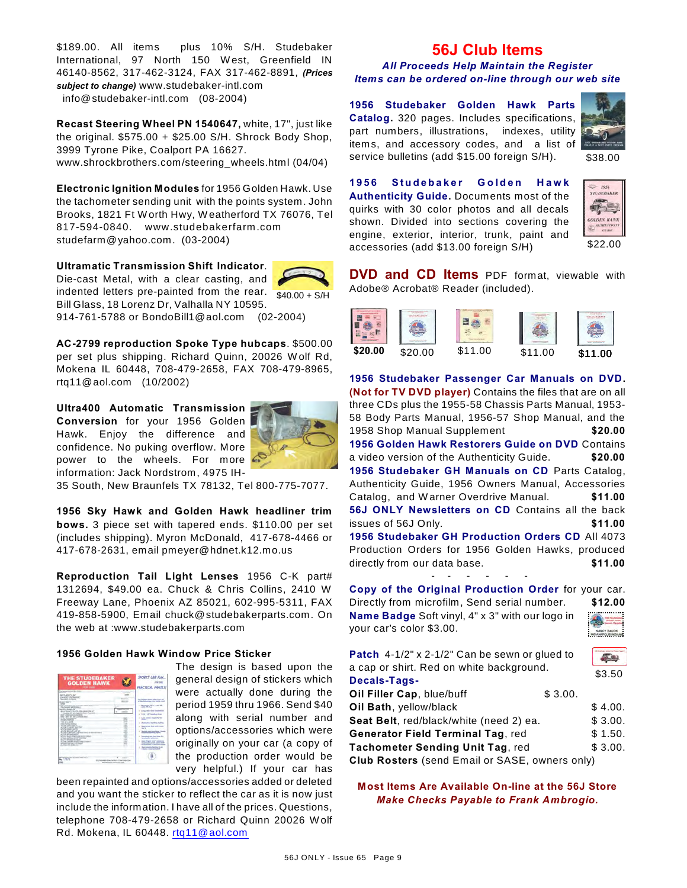\$189.00. All items plus 10% S/H. Studebaker International, 97 North 150 W est, Greenfield IN 46140-8562, 317-462-3124, FAX 317-462-8891, *(Prices subject to change)* www.studebaker-intl.com info@studebaker-intl.com (08-2004)

**Recast Steering Wheel PN 1540647,** white, 17", just like the original. \$575.00 + \$25.00 S/H. Shrock Body Shop, 3999 Tyrone Pike, Coalport PA 16627. www.shrockbrothers.com/steering\_wheels.html (04/04)

**Electronic Ignition Modules** for 1956 Golden Hawk. Use the tachometer sending unit with the points system. John Brooks, 1821 Ft W orth Hwy, W eatherford TX 76076, Tel 817-594-0840. www.studebakerfarm .com studefarm@yahoo.com. (03-2004)

 $$40.00 + S/H$ **Ultramatic Transmission Shift Indicator**. Die-cast Metal, with a clear casting, and indented letters pre-painted from the rear. Bill Glass, 18 Lorenz Dr, Valhalla NY 10595.

914-761-5788 or BondoBill1@aol.com (02-2004)

**AC-2799 reproduction Spoke Type hubcaps**. \$500.00 per set plus shipping. Richard Quinn, 20026 W olf Rd, Mokena IL 60448, 708-479-2658, FAX 708-479-8965, rtq11@aol.com (10/2002)

**Ultra400 Automatic Transmission Conversion** for your 1956 Golden Hawk. Enjoy the difference and confidence. No puking overflow. More power to the wheels. For more information: Jack Nordstrom, 4975 IH-



35 South, New Braunfels TX 78132, Tel 800-775-7077.

**1956 Sky Hawk and Golden Hawk headliner trim bows.** 3 piece set with tapered ends. \$110.00 per set (includes shipping). Myron McDonald, 417-678-4466 or 417-678-2631, email pmeyer@hdnet.k12.mo.us

**Reproduction Tail Light Lenses** 1956 C-K part# 1312694, \$49.00 ea. Chuck & Chris Collins, 2410 W Freeway Lane, Phoenix AZ 85021, 602-995-5311, FAX 419-858-5900, Email chuck@studebakerparts.com. On the web at :www.studebakerparts.com

#### **1956 Golden Hawk Window Price Sticker**

| <b><i>THE STUDEBAKER</i></b><br><b>GOLDEN HAWK</b><br><b>FOR HIM</b>                                                                                                                                                                                                                                                                                                                                                                                                                                                                                                                                                                                                                                                                                                                                                                                                                                                                                            |        | SPORTS CAR FUN<br><b>PRACTICAL FAMILY</b>                                                                                                                                                                                                                                                                                                                                                                                                                                                                                                                                                                                                                              |
|-----------------------------------------------------------------------------------------------------------------------------------------------------------------------------------------------------------------------------------------------------------------------------------------------------------------------------------------------------------------------------------------------------------------------------------------------------------------------------------------------------------------------------------------------------------------------------------------------------------------------------------------------------------------------------------------------------------------------------------------------------------------------------------------------------------------------------------------------------------------------------------------------------------------------------------------------------------------|--------|------------------------------------------------------------------------------------------------------------------------------------------------------------------------------------------------------------------------------------------------------------------------------------------------------------------------------------------------------------------------------------------------------------------------------------------------------------------------------------------------------------------------------------------------------------------------------------------------------------------------------------------------------------------------|
| <b>December And And And Trees</b><br>--<br><b>META ARRETY AV</b><br>FA MOLT LENTING, BUT<br>the anticity at Agenta<br><b>Business Manager</b><br>$\sim$<br>actions at head has that manufacture as associations.<br>to excess and com-<br><b>COLLABORATION</b><br>\$147350715 (\$1.25 miles 236 ml<br>brookly 215 art Squarter Best Freezen<br>wide bell will not a tra-<br>the 1 and All he Lift Allen and<br>a day beneficiaries at<br><b>Profit contract</b><br><b>COLLAGE AND ARRANGEMENT</b><br>AND FURNIT STRAIG<br>ALCOHOL: NOW YE<br><b>ALLINE CLAIR AT ALCOHOL</b><br><b>SUSTAINABLE</b><br>All Links Antonio Links and<br>all credit is applicable at the recommendation<br>all 27th and capitals at<br>all pits want after the ALAND ANGEL<br>at contrast three on an is served<br>at 21 was active days<br>at 17th century in track enter of today at 1<br>attained and was the times<br>between the all to see-<br><b>EXAMPLE IN CARD AT THEFT</b> | ALC: Y | <b>This Assessed Monach collect contrast</b><br>of the following at 14 mont could<br>a company of the contracts<br><b>COLORADO</b><br>Long. 1961 Added vers<br><b>STOR &amp; LIST Selections Store</b><br>Today Insurance Ad Automatics four<br><b>COLOR</b><br><b>Replace and Septima models</b><br>Specia has fixed with court<br>-<br><b>Radiat con Anadigue 1</b><br><b>Astronomed Automotive Section</b><br><b>Recording them that home for-</b><br><b>West series and company</b><br>have these court extents<br>÷<br><b>State and complete provided</b><br><b>Scottsmiths: A restorer gener</b><br>North American Septimal Division<br>color or send out stark. |

The design is based upon the general design of stickers which were actually done during the period 1959 thru 1966. Send \$40 along with serial number and options/accessories which were

originally on your car (a copy of the production order would be very helpful.) If your car has

been repainted and options/accessories added or deleted and you want the sticker to reflect the car as it is now just include the information. I have all of the prices. Questions, telephone 708-479-2658 or Richard Quinn 20026 W olf Rd. Mokena, IL 60448. [rtq11@aol.com](mailto:rtq11@aol.com)

# **56J Club Items**

#### *All Proceeds Help Maintain the Register Items can be ordered on-line through our web site*

**1956 Studebaker Golden Hawk Parts Catalog.** 320 pages. Includes specifications, part numbers, illustrations, indexes, utility items, and accessory codes, and a list of service bulletins (add \$15.00 foreign S/H).



\$38.00

**1 9 5 6 S t u d e b a k e r G o l d e n H a w k Authenticity Guide.** Documents most of the quirks with 30 color photos and all decals shown. Divided into sections covering the engine, exterior, interior, trunk, paint and accessories (add \$13.00 foreign S/H)



**DVD and CD Items** PDF format, viewable with Adobe® Acrobat® Reader (included).



**1956 Studebaker Passenger Car Manuals on DVD. (Not for TV DVD player)** Contains the files that are on all three CDs plus the 1955-58 Chassis Parts Manual, 1953- 58 Body Parts Manual, 1956-57 Shop Manual, and the 1958 Shop Manual Supplement **\$20.00 1956 Golden Hawk Restorers Guide on DVD** Contains a video version of the Authenticity Guide. **\$20.00 1956 Studebaker GH Manuals on CD** Parts Catalog, Authenticity Guide, 1956 Owners Manual, Accessories Catalog, and W arner Overdrive Manual. **\$11.00 56J ONLY Newsletters on CD** Contains all the back issues of 56J Only. **\$11.00 1956 Studebaker GH Production Orders CD** All 4073 Production Orders for 1956 Golden Hawks, produced directly from our data base. **\$11.00** - - - - - -

**Copy of the Original Production Order** for your car. Directly from microfilm, Send serial number. **\$12.00 Name Badge** Soft vinyl, 4" x 3" with our logo in your car's color \$3.00.



| <b>Patch</b> $4-1/2$ " x 2-1/2" Can be sewn or glued to         |         |         |
|-----------------------------------------------------------------|---------|---------|
| a cap or shirt. Red on white background.<br><b>Decals-Tags-</b> |         |         |
| Oil Filler Cap, blue/buff                                       | \$3.00. |         |
| Oil Bath, yellow/black                                          |         | \$4.00. |
| Seat Belt, red/black/white (need 2) ea.                         |         | \$3.00. |
| <b>Generator Field Terminal Tag, red</b>                        |         | \$1.50. |
| Tachometer Sending Unit Tag, red                                |         | \$3.00. |
| Club Rosters (send Email or SASE, owners only)                  |         |         |

**Most Items Are Available On-line at the 56J Store** *Make Checks Payable to Frank Ambrogio.*